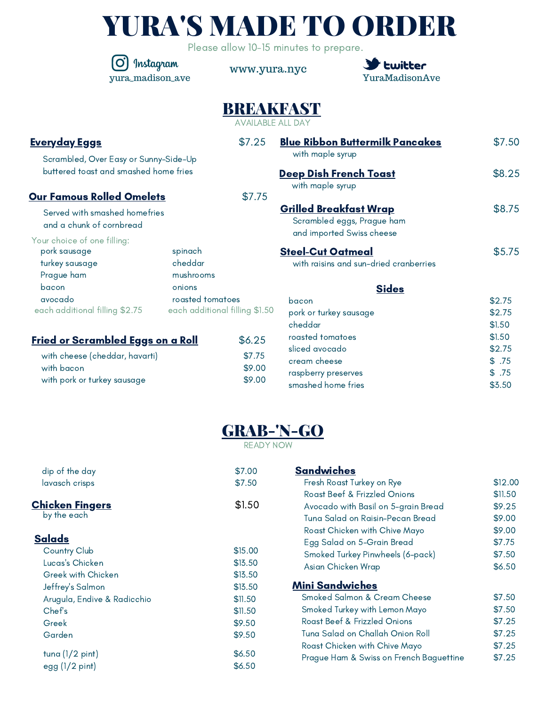|  |  | <b>YURA'S MADE TO ORDER</b> |
|--|--|-----------------------------|
|--|--|-----------------------------|

Please allow 10-15 minutes to prepare.

0 Instagram yura\_madison\_ave

www.yura.nyc



\$3.50

## BREAKFAST

AVAILABLE ALL DAY

| <b>Everyday Eggs</b>                                                                                                    |                                 | \$7.25                               | <b>Blue Ribbon Buttermilk Pancakes</b>                                                                             | \$7.50                                    |
|-------------------------------------------------------------------------------------------------------------------------|---------------------------------|--------------------------------------|--------------------------------------------------------------------------------------------------------------------|-------------------------------------------|
| Scrambled, Over Easy or Sunny-Side-Up<br>buttered toast and smashed home fries                                          |                                 |                                      | with maple syrup<br><b>Deep Dish French Toast</b>                                                                  | \$8.25                                    |
| <b>Our Famous Rolled Omelets</b>                                                                                        |                                 | \$7.75                               | with maple syrup                                                                                                   |                                           |
| Served with smashed homefries<br>and a chunk of cornbread                                                               |                                 |                                      | <b>Grilled Breakfast Wrap</b><br>Scrambled eggs, Prague ham<br>and imported Swiss cheese                           | \$8.75                                    |
| Your choice of one filling:<br>pork sausage<br>turkey sausage<br>Prague ham                                             | spinach<br>cheddar<br>mushrooms |                                      | <b>Steel-Cut Oatmeal</b><br>with raisins and sun-dried cranberries                                                 | \$5.75                                    |
| bacon<br>avocado<br>each additional filling \$2.75                                                                      | onions<br>roasted tomatoes      | each additional filling \$1.50       | <b>Sides</b><br>bacon<br>pork or turkey sausage<br>cheddar                                                         | \$2.75<br>\$2.75<br>\$1.50                |
| <u>Fried or Scrambled Eggs on a Roll</u><br>with cheese (cheddar, havarti)<br>with bacon<br>with pork or turkey sausage |                                 | \$6.25<br>\$7.75<br>\$9.00<br>\$9.00 | roasted tomatoes<br>sliced avocado<br>cream cheese<br>raspberry preserves<br>e de la ciudad de la cada de l'Edmond | \$1.50<br>\$2.75<br>\$.75<br>\$.75<br>AZE |



smashed home fries

READY NOW

| dip of the day              | \$7.00  | <b>Sandwiches</b>                       |         |
|-----------------------------|---------|-----------------------------------------|---------|
| lavasch crisps              | \$7.50  | Fresh Roast Turkey on Rye               | \$12.00 |
|                             |         | Roast Beef & Frizzled Onions            | \$11.50 |
| <u>Chicken Fingers</u>      | \$1.50  | Avocado with Basil on 5-grain Bread     | \$9.25  |
| by the each                 |         | Tuna Salad on Raisin-Pecan Bread        | \$9.00  |
|                             |         | Roast Chicken with Chive Mayo           | \$9.00  |
| <u>Salads</u>               |         | Egg Salad on 5-Grain Bread              | \$7.75  |
| Country Club                | \$15.00 | Smoked Turkey Pinwheels (6-pack)        | \$7.50  |
| Lucas's Chicken             | \$13.50 | Asian Chicken Wrap                      | \$6.50  |
| Greek with Chicken          | \$13.50 |                                         |         |
| Jeffrey's Salmon            | \$13.50 | <b>Mini Sandwiches</b>                  |         |
| Arugula, Endive & Radicchio | \$11.50 | Smoked Salmon & Cream Cheese            | \$7.50  |
| Chef's                      | \$11.50 | Smoked Turkey with Lemon Mayo           | \$7.50  |
| Greek                       | \$9.50  | Roast Beef & Frizzled Onions            | \$7.25  |
| Garden                      | \$9.50  | Tuna Salad on Challah Onion Roll        | \$7.25  |
|                             |         | Roast Chicken with Chive Mayo           | \$7.25  |
| tuna $(1/2$ pint)           | \$6.50  | Prague Ham & Swiss on French Baguettine | \$7.25  |
| $egg(1/2$ pint)             | \$6.50  |                                         |         |